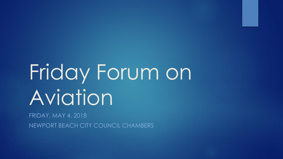# Friday Forum on Aviation

FRIDAY, MAY 4, 2018 NEWPORT BEACH CITY COUNCIL CHAMBERS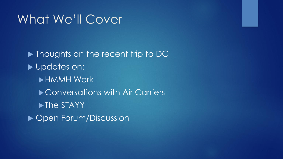## What We'll Cover

**Thoughts on the recent trip to DC** Updates on: HMMH Work ▶ Conversations with Air Carriers lacktriangleright The STAYY ▶ Open Forum/Discussion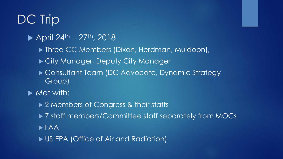## DC Trip

- April  $24^{th} 27^{th}$ , 2018
	- ▶ Three CC Members (Dixon, Herdman, Muldoon),
	- ▶ City Manager, Deputy City Manager
	- ▶ Consultant Team (DC Advocate, Dynamic Strategy) Group)
- $\blacktriangleright$  Met with:
	- ▶ 2 Members of Congress & their staffs
	- ▶ 7 staff members/Committee staff separately from MOCs
	- FAA
	- ▶ US EPA (Office of Air and Radiation)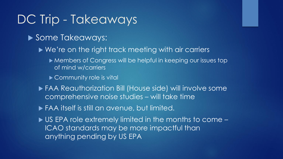## DC Trip - Takeaways

#### Some Takeaways:

- ▶ We're on the right track meeting with air carriers
	- Members of Congress will be helpful in keeping our issues top of mind w/carriers
	- ▶ Community role is vital
- FAA Reauthorization Bill (House side) will involve some comprehensive noise studies – will take time
- FAA itself is still an avenue, but limited.
- ▶ US EPA role extremely limited in the months to come ICAO standards may be more impactful than anything pending by US EPA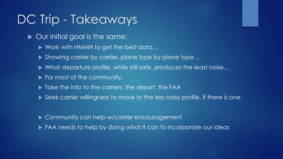## DC Trip - Takeaways'

- ▶ Our initial goal is the same:
	- ▶ Work with HMMH to get the best data...
	- Showing carrier by carrier, plane type by plane type...
	- ▶ What departure profile, while still safe, produces the least noise...
	- For most of the community.
	- $\blacktriangleright$  Take the info to the carriers, the airport, the FAA
	- Seek carrier willingness to move to the less noisy profile, if there is one.
	- ▶ Community can help w/carrier encouragement
	- ▶ FAA needs to help by doing what it can to incorporate our ideas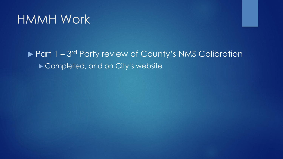## HMMH Work

### ▶ Part 1 - 3<sup>rd</sup> Party review of County's NMS Calibration ▶ Completed, and on City's website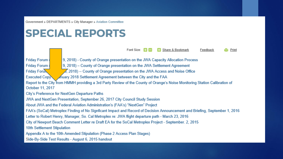Government » DEPARTMENTS » City Manager » Aviation Committee

## **SPECIAL REPORTS**

Font Size:  $\Box$ Share & Bookmark Feedback Print

**Friday Forum: Friday Forum Friday Forun** 

9, 2018) - County of Orange presentation on the JWA Capacity Allocation Process

9, 2018) – County of Orange presentation on the JWA Settlement Agreement

 $\sqrt{2}$ , 2018) -- County of Orange presentation on the JWA Access and Noise Office

**Executed Copy** nuary 2018 Settlement Agreement between the City and the FAA

Report to the City from HMMH providing a 3rd Party Review of the County of Orange's Noise Monitoring Station Calibration of October 11, 2017

City's Preference for NextGen Departure Paths

JWA and NextGen Presentation, September 26, 2017 City Council Study Session

About JWA and the Federal Aviation Administration's (FAA's) "NextGen" Project

FAA's (SoCal) Metroplex Finding of No Signficant Impact and Record of Decision Announcement and Briefing, September 1, 2016

Letter to Robert Henry, Manager, So. Cal Metroplex re: JWA flight departure path - March 23, 2016

City of Newport Beach Comment Letter re Draft EA for the SoCal Metroplex Project - September. 2, 2015

10th Settlement Stipulation

Appendix A to the 10th Amended Stipulation (Phase 2 Access Plan Stages)

Side-By-Side Test Results - August 6, 2015 handout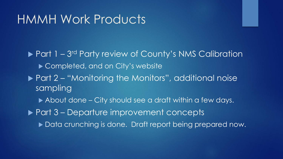## HMMH Work Products

▶ Part 1 - 3<sup>rd</sup> Party review of County's NMS Calibration ▶ Completed, and on City's website ▶ Part 2 – "Monitoring the Monitors", additional noise sampling About done – City should see a draft within a few days.

▶ Part 3 – Departure improvement concepts

▶ Data crunching is done. Draft report being prepared now.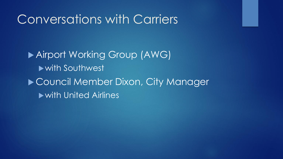## Conversations with Carriers

 Airport Working Group (AWG) with Southwest ▶ Council Member Dixon, City Manager with United Airlines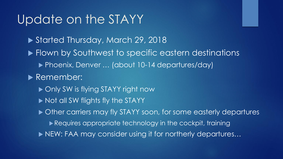## Update on the STAYY

▶ Started Thursday, March 29, 2018 **Flown by Southwest to specific eastern destinations** ▶ Phoenix, Denver ... (about 10-14 departures/day) Remember:

- ▶ Only SW is flying STAYY right now
- Not all SW flights fly the STAYY

 $\triangleright$  Other carriers may fly STAYY soon, for some easterly departures

- Requires appropriate technology in the cockpit, training
- ▶ NEW: FAA may consider using it for northerly departures...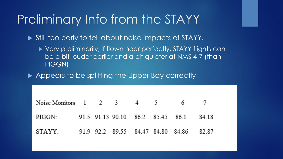## Preliminary Info from the STAYY

Still too early to tell about noise impacts of STAYY.

▶ Very preliminarily, if flown near perfectly, STAYY flights can be a bit louder earlier and a bit quieter at NMS 4-7 (than PIGGN)

Appears to be splitting the Upper Bay correctly

| Noise Monitors 1 2 3 4 5 6 7                   |  |  |  |  |
|------------------------------------------------|--|--|--|--|
| PIGGN: 91.5 91.13 90.10 86.2 85.45 86.1 84.18  |  |  |  |  |
| STAYY: 91.9 92.2 89.55 84.47 84.80 84.86 82.87 |  |  |  |  |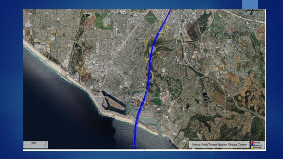